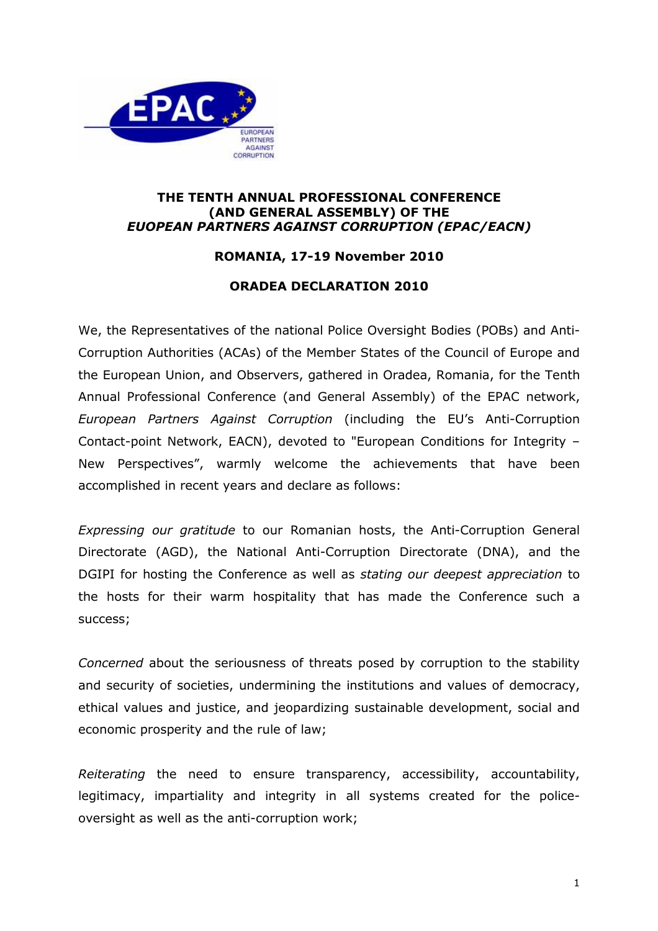

## ТНЕ TENTH ANNUAL PROFESSIONAL CONFERENCE (AND GENERAL ASSEMBLY) ОF ТНЕ EUOPEAN PARTNERS AGAINST CORRUPTION (EPAC/EACN)

## ROMANIA, 17-19 November 2010

## ORADEA DECLARATION 2010

We, the Representatives of the national Police Oversight Bodies (POBs) and Anti-Corruption Authorities (ACAs) of the Member States of the Council of Europe and the European Union, and Observers, gathered in Oradea, Romania, for the Tenth Annual Professional Conference (and General Assembly) of the EPAC network, European Partners Against Corruption (including the EU's Anti-Corruption Contact-point Network, EACN), devoted to "European Conditions for Integrity – New Perspectives", warmly welcome the achievements that have been accomplished in recent years and declare as follows:

Expressing our gratitude to our Romanian hosts, the Anti-Corruption General Directorate (AGD), the National Anti-Corruption Directorate (DNA), and the DGIPI for hosting the Conference as well as stating our deepest appreciation to the hosts for their warm hospitality that has made the Conference such a success;

Concerned about the seriousness of threats posed by corruption to the stability and security of societies, undermining the institutions and values of democracy, ethical values and justice, and jeopardizing sustainable development, social and economic prosperity and the rule of law;

Reiterating the need to ensure transparency, accessibility, accountability, legitimacy, impartiality and integrity in all systems created for the policeoversight as well as the anti-corruption work;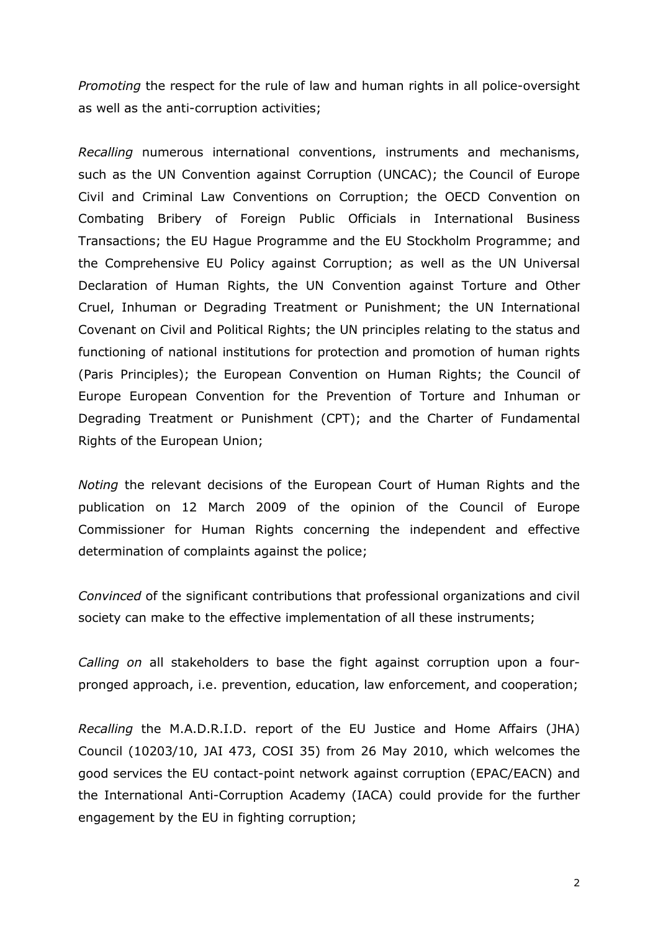Promoting the respect for the rule of law and human rights in all police-oversight as well as the anti-corruption activities;

Recalling numerous international conventions, instruments and mechanisms, such as the UN Convention against Corruption (UNCAC); the Council of Europe Civil and Criminal Law Conventions on Corruption; the OECD Convention on Combating Bribery of Foreign Public Officials in International Business Transactions; the EU Hague Programme and the EU Stockholm Programme; and the Comprehensive EU Policy against Corruption; as well as the UN Universal Declaration of Human Rights, the UN Convention against Torture and Other Cruel, Inhuman or Degrading Treatment or Punishment; the UN International Covenant on Civil and Political Rights; the UN principles relating to the status and functioning of national institutions for protection and promotion of human rights (Paris Principles); the European Convention on Human Rights; the Council of Europe European Convention for the Prevention of Torture and Inhuman or Degrading Treatment or Punishment (CPT); and the Charter of Fundamental Rights of the European Union;

Noting the relevant decisions of the European Court of Human Rights and the publication on 12 March 2009 of the opinion of the Council of Europe Commissioner for Human Rights concerning the independent and effective determination of complaints against the police;

Convinced of the significant contributions that professional organizations and civil society can make to the effective implementation of all these instruments;

Calling on all stakeholders to base the fight against corruption upon a fourpronged approach, i.e. prevention, education, law enforcement, and cooperation;

Recalling the M.A.D.R.I.D. report of the EU Justice and Home Affairs (JHA) Council (10203/10, JAI 473, COSI 35) from 26 May 2010, which welcomes the good services the EU contact-point network against corruption (EPAC/EACN) and the International Anti-Corruption Academy (IACA) could provide for the further engagement by the EU in fighting corruption;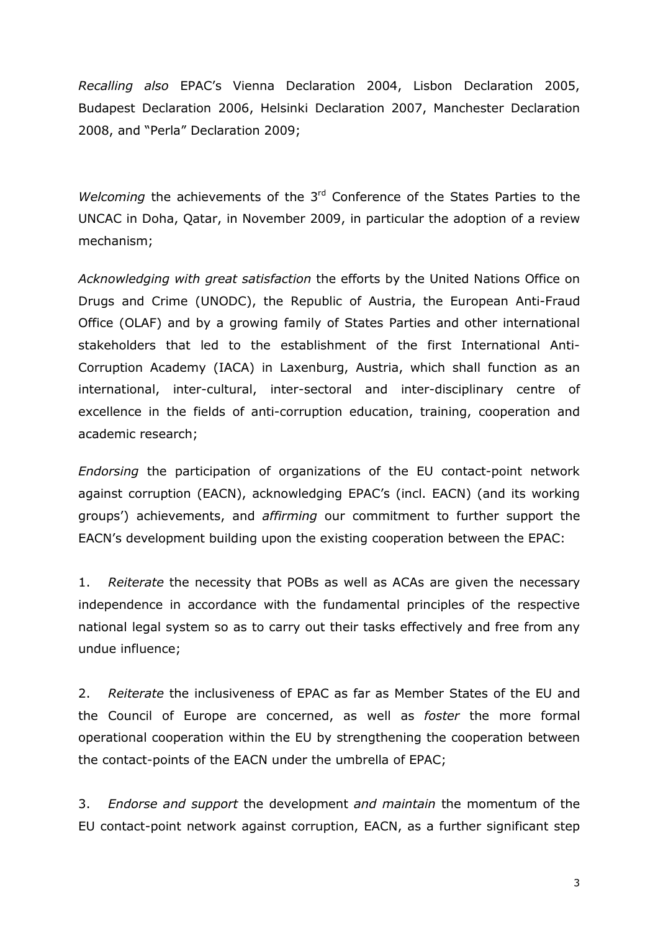Recalling also EPAC's Vienna Declaration 2004, Lisbon Declaration 2005, Budapest Declaration 2006, Helsinki Declaration 2007, Manchester Declaration 2008, and "Perla" Declaration 2009;

Welcoming the achievements of the  $3<sup>rd</sup>$  Conference of the States Parties to the UNCAC in Doha, Qatar, in November 2009, in particular the adoption of a review mechanism;

Acknowledging with great satisfaction the efforts by the United Nations Office on Drugs and Crime (UNODC), the Republic of Austria, the European Anti-Fraud Office (OLAF) and by a growing family of States Parties and other international stakeholders that led to the establishment of the first International Anti-Corruption Academy (IACA) in Laxenburg, Austria, which shall function as an international, inter-cultural, inter-sectoral and inter-disciplinary centre of excellence in the fields of anti-corruption education, training, cooperation and academic research;

Endorsing the participation of organizations of the EU contact-point network against corruption (EACN), acknowledging EPAC's (incl. EACN) (and its working groups') achievements, and affirming our commitment to further support the EACN's development building upon the existing cooperation between the EPAC:

1. Reiterate the necessity that POBs as well as ACAs are given the necessary independence in accordance with the fundamental principles of the respective national legal system so as to carry out their tasks effectively and free from anу undue influence;

2. Reiterate the inclusiveness of EPAC as far as Member States of the EU and the Council of Europe are concerned, as well as foster the more formal operational cooperation within the EU by strengthening the cooperation between the contact-points of the EACN under the umbrella of EPAC;

3. Endorse and support the development and maintain the momentum of the EU contact-point network against corruption, EACN, as a further significant step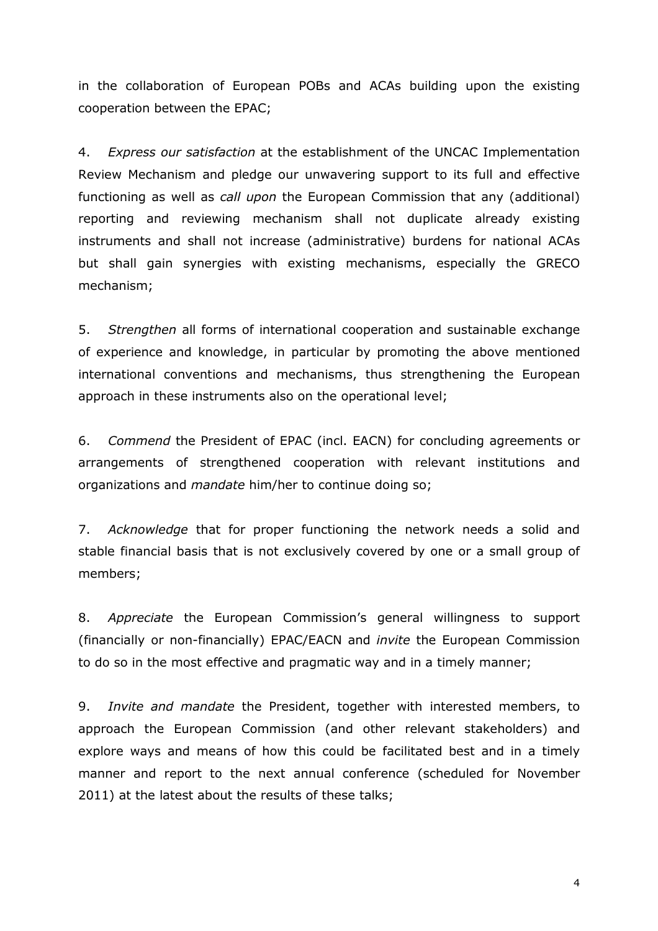in the collaboration of European POBs and ACAs building upon the existing cooperation between the EPAC;

4. *Express our satisfaction* at the establishment of the UNCAC Implementation Review Mechanism and pledge our unwavering support to its full and effective functioning as well as *call upon* the European Commission that any (additional) reporting and reviewing mechanism shall not duplicate already existing instruments and shall not increase (administrative) burdens for national ACAs but shall gain synergies with existing mechanisms, especially the GRECO mechanism;

5. Strengthen all forms of international cooperation and sustainable exchange of experience and knowledge, in particular by promoting the above mentioned international conventions and mechanisms, thus strengthening the European approach in these instruments also on the operational level;

6. Commend the President of EPAC (incl. EACN) for concluding agreements or arrangements of strengthened cooperation with relevant institutions and organizations and mandate him/her to continue doing so;

7. Acknowledge that for proper functioning the network needs a solid and stable financial basis that is not exclusively covered by one or a small group of members;

8. Appreciate the European Commission's general willingness to support (financially or non-financially) EPAC/EACN and invite the European Commission to do so in the most effective and pragmatic way and in a timely manner;

9. *Invite and mandate* the President, together with interested members, to approach the European Commission (and other relevant stakeholders) and explore ways and means of how this could be facilitated best and in a timely manner and report to the next annual conference (scheduled for November 2011) at the latest about the results of these talks;

4